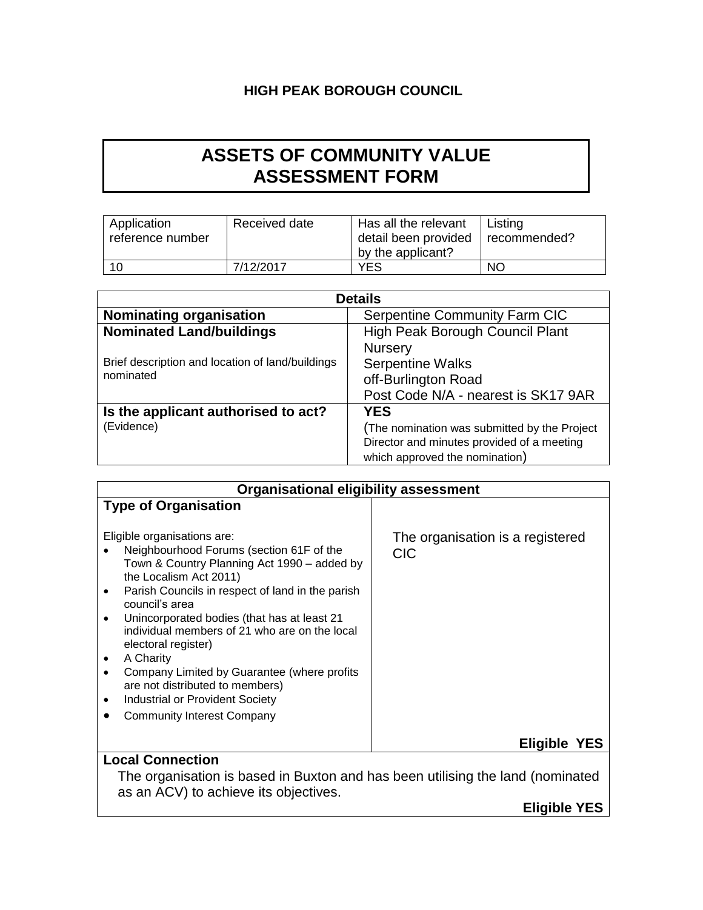## **HIGH PEAK BOROUGH COUNCIL**

## **ASSETS OF COMMUNITY VALUE ASSESSMENT FORM**

| Application<br>reference number | Received date | Has all the relevant<br>detail been provided | Listing<br>I recommended? |
|---------------------------------|---------------|----------------------------------------------|---------------------------|
|                                 |               | by the applicant?                            |                           |
| 10                              | 7/12/2017     | YES                                          | <b>NO</b>                 |

| <b>Details</b>                                    |                                              |  |
|---------------------------------------------------|----------------------------------------------|--|
| <b>Nominating organisation</b>                    | Serpentine Community Farm CIC                |  |
| <b>Nominated Land/buildings</b>                   | High Peak Borough Council Plant              |  |
|                                                   | <b>Nursery</b>                               |  |
| Brief description and location of land/buildings  | <b>Serpentine Walks</b>                      |  |
| nominated                                         | off-Burlington Road                          |  |
|                                                   | Post Code N/A - nearest is SK17 9AR          |  |
| Is the applicant authorised to act?<br><b>YES</b> |                                              |  |
| (Evidence)                                        | (The nomination was submitted by the Project |  |
|                                                   | Director and minutes provided of a meeting   |  |
|                                                   | which approved the nomination)               |  |

| <b>Organisational eligibility assessment</b>                                                                                                                                                                                                                                                                                                                                                                                                                                                                                                          |                                                |  |
|-------------------------------------------------------------------------------------------------------------------------------------------------------------------------------------------------------------------------------------------------------------------------------------------------------------------------------------------------------------------------------------------------------------------------------------------------------------------------------------------------------------------------------------------------------|------------------------------------------------|--|
| <b>Type of Organisation</b>                                                                                                                                                                                                                                                                                                                                                                                                                                                                                                                           |                                                |  |
| Eligible organisations are:<br>Neighbourhood Forums (section 61F of the<br>Town & Country Planning Act 1990 – added by<br>the Localism Act 2011)<br>Parish Councils in respect of land in the parish<br>٠<br>council's area<br>Unincorporated bodies (that has at least 21<br>$\bullet$<br>individual members of 21 who are on the local<br>electoral register)<br>A Charity<br>٠<br>Company Limited by Guarantee (where profits<br>٠<br>are not distributed to members)<br>Industrial or Provident Society<br>٠<br><b>Community Interest Company</b> | The organisation is a registered<br><b>CIC</b> |  |
|                                                                                                                                                                                                                                                                                                                                                                                                                                                                                                                                                       | <b>Eligible</b><br>YES                         |  |
| <b>Local Connection</b>                                                                                                                                                                                                                                                                                                                                                                                                                                                                                                                               |                                                |  |

The organisation is based in Buxton and has been utilising the land (nominated as an ACV) to achieve its objectives.

**Eligible YES**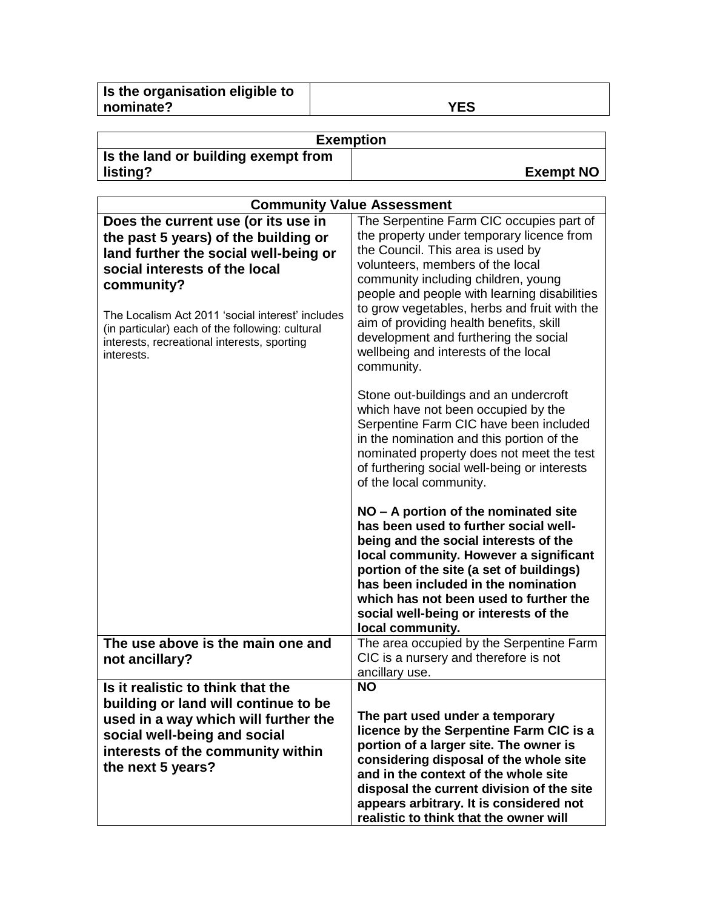| Is the organisation eligible to |     |
|---------------------------------|-----|
| nominate?                       | YES |
|                                 |     |

| <b>Exemption</b>                    |                  |  |
|-------------------------------------|------------------|--|
| Is the land or building exempt from |                  |  |
| listing?                            | <b>Exempt NO</b> |  |

| <b>Community Value Assessment</b>                                                                                                                                                                                                                                                                                                       |                                                                                                                                                                                                                                                                                                                                                                                                                                                 |
|-----------------------------------------------------------------------------------------------------------------------------------------------------------------------------------------------------------------------------------------------------------------------------------------------------------------------------------------|-------------------------------------------------------------------------------------------------------------------------------------------------------------------------------------------------------------------------------------------------------------------------------------------------------------------------------------------------------------------------------------------------------------------------------------------------|
| Does the current use (or its use in<br>the past 5 years) of the building or<br>land further the social well-being or<br>social interests of the local<br>community?<br>The Localism Act 2011 'social interest' includes<br>(in particular) each of the following: cultural<br>interests, recreational interests, sporting<br>interests. | The Serpentine Farm CIC occupies part of<br>the property under temporary licence from<br>the Council. This area is used by<br>volunteers, members of the local<br>community including children, young<br>people and people with learning disabilities<br>to grow vegetables, herbs and fruit with the<br>aim of providing health benefits, skill<br>development and furthering the social<br>wellbeing and interests of the local<br>community. |
|                                                                                                                                                                                                                                                                                                                                         | Stone out-buildings and an undercroft<br>which have not been occupied by the<br>Serpentine Farm CIC have been included<br>in the nomination and this portion of the<br>nominated property does not meet the test<br>of furthering social well-being or interests<br>of the local community.                                                                                                                                                     |
|                                                                                                                                                                                                                                                                                                                                         | NO - A portion of the nominated site<br>has been used to further social well-<br>being and the social interests of the<br>local community. However a significant<br>portion of the site (a set of buildings)<br>has been included in the nomination<br>which has not been used to further the<br>social well-being or interests of the<br>local community.                                                                                      |
| The use above is the main one and<br>not ancillary?                                                                                                                                                                                                                                                                                     | The area occupied by the Serpentine Farm<br>CIC is a nursery and therefore is not<br>ancillary use.                                                                                                                                                                                                                                                                                                                                             |
| Is it realistic to think that the<br>building or land will continue to be<br>used in a way which will further the<br>social well-being and social<br>interests of the community within<br>the next 5 years?                                                                                                                             | <b>NO</b><br>The part used under a temporary<br>licence by the Serpentine Farm CIC is a<br>portion of a larger site. The owner is<br>considering disposal of the whole site<br>and in the context of the whole site<br>disposal the current division of the site<br>appears arbitrary. It is considered not<br>realistic to think that the owner will                                                                                           |